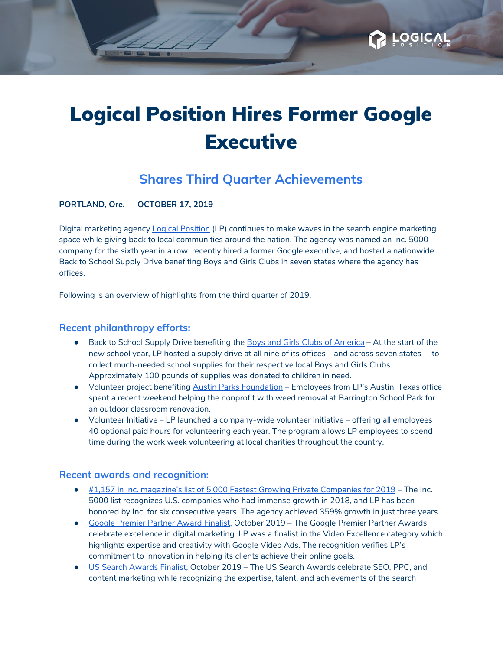

**OGIC** 

## **Shares Third Quarter Achievements**

**PORTLAND, Ore. — OCTOBER 17, 2019**

Digital marketing agency **Logical [Position](https://www.logicalposition.com/) (LP)** continues to make waves in the search engine marketing space while giving back to local communities around the nation. The agency was named an Inc. 5000 company for the sixth year in a row, recently hired a former Google executive, and hosted a nationwide Back to School Supply Drive benefiting Boys and Girls Clubs in seven states where the agency has offices.

Following is an overview of highlights from the third quarter of 2019.

### **Recent philanthropy efforts:**

- Back to School Supply Drive benefiting the Boys and Girls Clubs of [America](https://www.bgca.org/?gclid=EAIaIQobChMIs7ueuJva3AIVxLXACh262gIlEAAYAiAAEgJUtvD_BwE) At the start of the new school year, LP hosted a supply drive at all nine of its offices – and across seven states – to collect much-needed school supplies for their respective local Boys and Girls Clubs. Approximately 100 pounds of supplies was donated to children in need.
- Volunteer project benefiting Austin Parks [Foundation](https://austinparks.org/) Employees from LP's Austin, Texas office spent a recent weekend helping the nonprofit with weed removal at Barrington School Park for an outdoor classroom renovation.
- Volunteer Initiative LP launched a company-wide volunteer initiative offering all employees 40 optional paid hours for volunteering each year. The program allows LP employees to spend time during the work week volunteering at local charities throughout the country.

#### **Recent awards and recognition:**

- #1,157 in Inc. [magazine's](https://www.inc.com/profile/logical-position) list of 5,000 Fastest Growing Private Companies for 2019 The Inc. 5000 list recognizes U.S. companies who had immense growth in 2018, and LP has been honored by Inc. for six consecutive years. The agency achieved 359% growth in just three years.
- Google [Premier](https://premierpartnerawards.withgoogle.com/intl/ALL_us/) Partner Award Finalist, October 2019 The Google Premier Partner Awards celebrate excellence in digital marketing. LP was a finalist in the Video Excellence category which highlights expertise and creativity with Google Video Ads. The recognition verifies LP's commitment to innovation in helping its clients achieve their online goals.
- US Search [Awards](https://www.ussearchawards.com/) Finalist, October 2019 The US Search Awards celebrate SEO, PPC, and content marketing while recognizing the expertise, talent, and achievements of the search